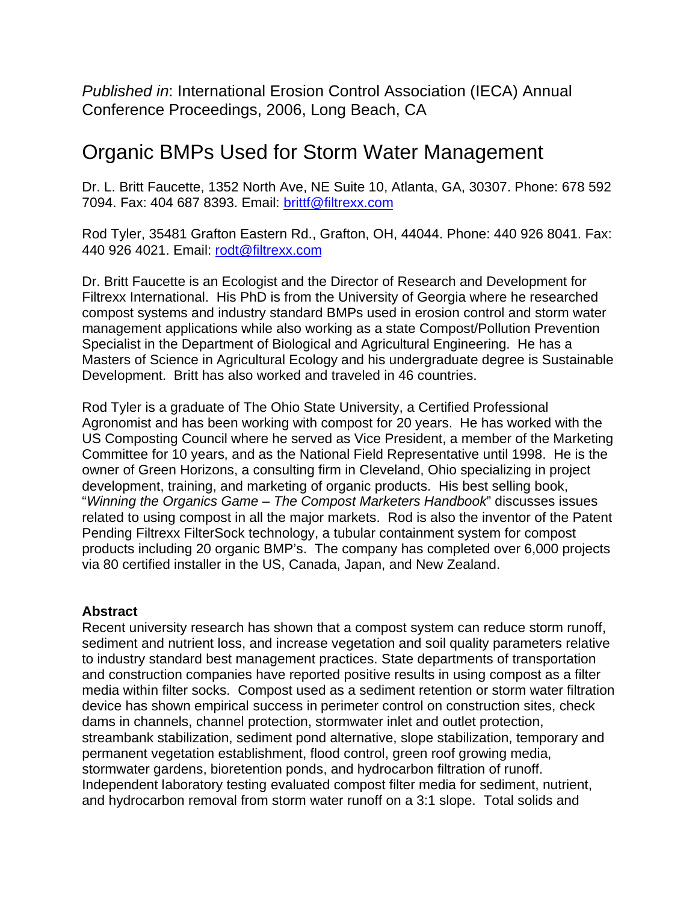*Published in*: International Erosion Control Association (IECA) Annual Conference Proceedings, 2006, Long Beach, CA

# Organic BMPs Used for Storm Water Management

Dr. L. Britt Faucette, 1352 North Ave, NE Suite 10, Atlanta, GA, 30307. Phone: 678 592 7094. Fax: 404 687 8393. Email: brittf@filtrexx.com

Rod Tyler, 35481 Grafton Eastern Rd., Grafton, OH, 44044. Phone: 440 926 8041. Fax: 440 926 4021. Email: rodt@filtrexx.com

Dr. Britt Faucette is an Ecologist and the Director of Research and Development for Filtrexx International. His PhD is from the University of Georgia where he researched compost systems and industry standard BMPs used in erosion control and storm water management applications while also working as a state Compost/Pollution Prevention Specialist in the Department of Biological and Agricultural Engineering. He has a Masters of Science in Agricultural Ecology and his undergraduate degree is Sustainable Development. Britt has also worked and traveled in 46 countries.

Rod Tyler is a graduate of The Ohio State University, a Certified Professional Agronomist and has been working with compost for 20 years. He has worked with the US Composting Council where he served as Vice President, a member of the Marketing Committee for 10 years, and as the National Field Representative until 1998. He is the owner of Green Horizons, a consulting firm in Cleveland, Ohio specializing in project development, training, and marketing of organic products. His best selling book, "*Winning the Organics Game – The Compost Marketers Handbook*" discusses issues related to using compost in all the major markets. Rod is also the inventor of the Patent Pending Filtrexx FilterSock technology, a tubular containment system for compost products including 20 organic BMP's. The company has completed over 6,000 projects via 80 certified installer in the US, Canada, Japan, and New Zealand.

# **Abstract**

Recent university research has shown that a compost system can reduce storm runoff, sediment and nutrient loss, and increase vegetation and soil quality parameters relative to industry standard best management practices. State departments of transportation and construction companies have reported positive results in using compost as a filter media within filter socks. Compost used as a sediment retention or storm water filtration device has shown empirical success in perimeter control on construction sites, check dams in channels, channel protection, stormwater inlet and outlet protection, streambank stabilization, sediment pond alternative, slope stabilization, temporary and permanent vegetation establishment, flood control, green roof growing media, stormwater gardens, bioretention ponds, and hydrocarbon filtration of runoff. Independent laboratory testing evaluated compost filter media for sediment, nutrient, and hydrocarbon removal from storm water runoff on a 3:1 slope. Total solids and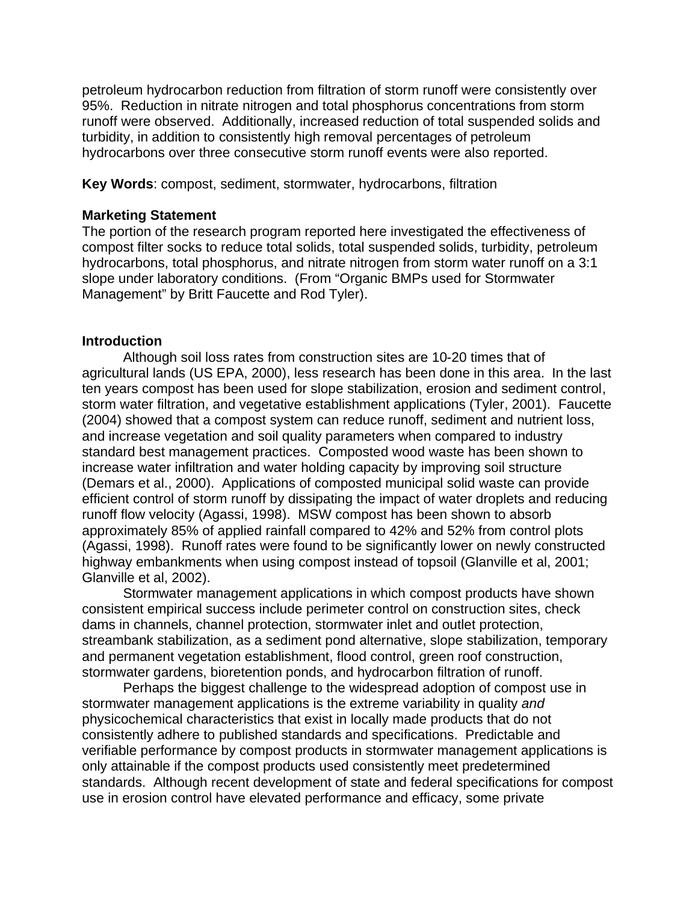petroleum hydrocarbon reduction from filtration of storm runoff were consistently over 95%. Reduction in nitrate nitrogen and total phosphorus concentrations from storm runoff were observed. Additionally, increased reduction of total suspended solids and turbidity, in addition to consistently high removal percentages of petroleum hydrocarbons over three consecutive storm runoff events were also reported.

**Key Words**: compost, sediment, stormwater, hydrocarbons, filtration

#### **Marketing Statement**

The portion of the research program reported here investigated the effectiveness of compost filter socks to reduce total solids, total suspended solids, turbidity, petroleum hydrocarbons, total phosphorus, and nitrate nitrogen from storm water runoff on a 3:1 slope under laboratory conditions. (From "Organic BMPs used for Stormwater Management" by Britt Faucette and Rod Tyler).

## **Introduction**

Although soil loss rates from construction sites are 10-20 times that of agricultural lands (US EPA, 2000), less research has been done in this area. In the last ten years compost has been used for slope stabilization, erosion and sediment control, storm water filtration, and vegetative establishment applications (Tyler, 2001). Faucette (2004) showed that a compost system can reduce runoff, sediment and nutrient loss, and increase vegetation and soil quality parameters when compared to industry standard best management practices. Composted wood waste has been shown to increase water infiltration and water holding capacity by improving soil structure (Demars et al., 2000). Applications of composted municipal solid waste can provide efficient control of storm runoff by dissipating the impact of water droplets and reducing runoff flow velocity (Agassi, 1998). MSW compost has been shown to absorb approximately 85% of applied rainfall compared to 42% and 52% from control plots (Agassi, 1998). Runoff rates were found to be significantly lower on newly constructed highway embankments when using compost instead of topsoil (Glanville et al, 2001; Glanville et al, 2002).

Stormwater management applications in which compost products have shown consistent empirical success include perimeter control on construction sites, check dams in channels, channel protection, stormwater inlet and outlet protection, streambank stabilization, as a sediment pond alternative, slope stabilization, temporary and permanent vegetation establishment, flood control, green roof construction, stormwater gardens, bioretention ponds, and hydrocarbon filtration of runoff.

Perhaps the biggest challenge to the widespread adoption of compost use in stormwater management applications is the extreme variability in quality *and* physicochemical characteristics that exist in locally made products that do not consistently adhere to published standards and specifications. Predictable and verifiable performance by compost products in stormwater management applications is only attainable if the compost products used consistently meet predetermined standards. Although recent development of state and federal specifications for compost use in erosion control have elevated performance and efficacy, some private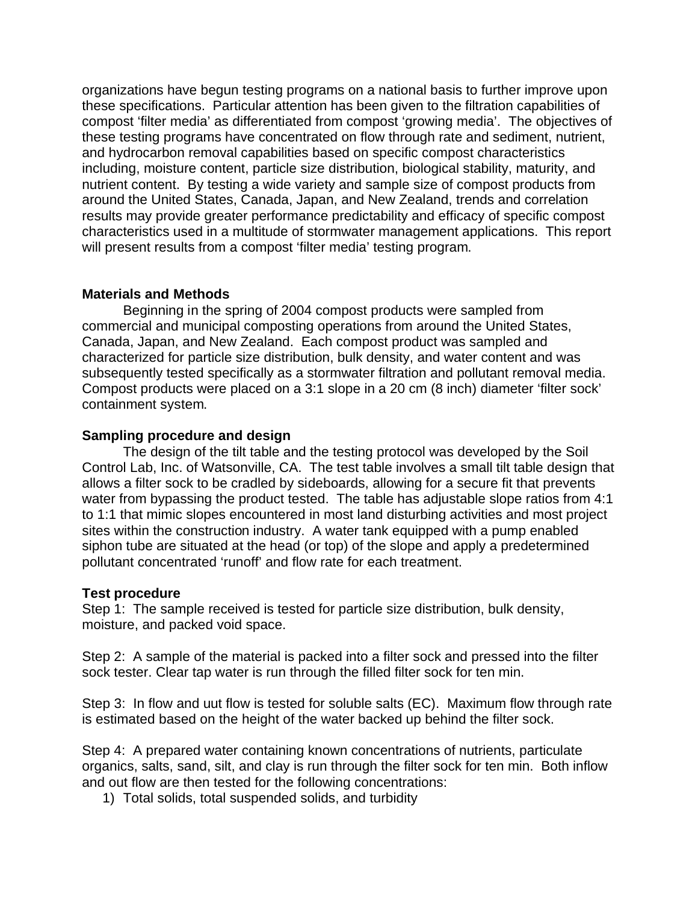organizations have begun testing programs on a national basis to further improve upon these specifications. Particular attention has been given to the filtration capabilities of compost 'filter media' as differentiated from compost 'growing media'. The objectives of these testing programs have concentrated on flow through rate and sediment, nutrient, and hydrocarbon removal capabilities based on specific compost characteristics including, moisture content, particle size distribution, biological stability, maturity, and nutrient content. By testing a wide variety and sample size of compost products from around the United States, Canada, Japan, and New Zealand, trends and correlation results may provide greater performance predictability and efficacy of specific compost characteristics used in a multitude of stormwater management applications. This report will present results from a compost 'filter media' testing program.

# **Materials and Methods**

Beginning in the spring of 2004 compost products were sampled from commercial and municipal composting operations from around the United States, Canada, Japan, and New Zealand. Each compost product was sampled and characterized for particle size distribution, bulk density, and water content and was subsequently tested specifically as a stormwater filtration and pollutant removal media. Compost products were placed on a 3:1 slope in a 20 cm (8 inch) diameter 'filter sock' containment system.

## **Sampling procedure and design**

The design of the tilt table and the testing protocol was developed by the Soil Control Lab, Inc. of Watsonville, CA. The test table involves a small tilt table design that allows a filter sock to be cradled by sideboards, allowing for a secure fit that prevents water from bypassing the product tested. The table has adjustable slope ratios from 4:1 to 1:1 that mimic slopes encountered in most land disturbing activities and most project sites within the construction industry. A water tank equipped with a pump enabled siphon tube are situated at the head (or top) of the slope and apply a predetermined pollutant concentrated 'runoff' and flow rate for each treatment.

#### **Test procedure**

Step 1: The sample received is tested for particle size distribution, bulk density, moisture, and packed void space.

Step 2: A sample of the material is packed into a filter sock and pressed into the filter sock tester. Clear tap water is run through the filled filter sock for ten min.

Step 3: In flow and uut flow is tested for soluble salts (EC). Maximum flow through rate is estimated based on the height of the water backed up behind the filter sock.

Step 4: A prepared water containing known concentrations of nutrients, particulate organics, salts, sand, silt, and clay is run through the filter sock for ten min. Both inflow and out flow are then tested for the following concentrations:

1) Total solids, total suspended solids, and turbidity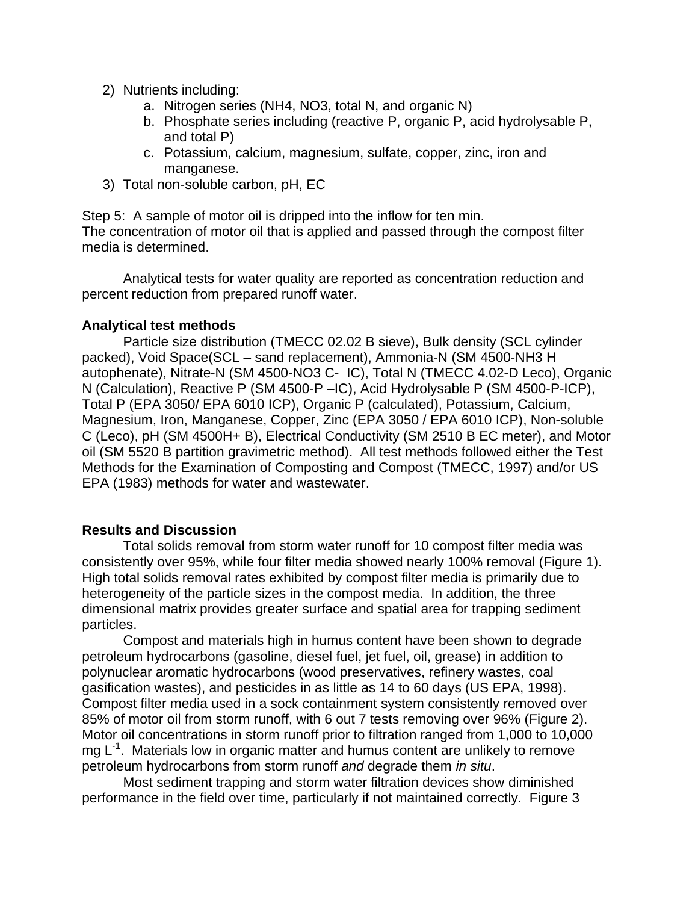- 2) Nutrients including:
	- a. Nitrogen series (NH4, NO3, total N, and organic N)
	- b. Phosphate series including (reactive P, organic P, acid hydrolysable P, and total P)
	- c. Potassium, calcium, magnesium, sulfate, copper, zinc, iron and manganese.
- 3) Total non-soluble carbon, pH, EC

Step 5: A sample of motor oil is dripped into the inflow for ten min. The concentration of motor oil that is applied and passed through the compost filter

media is determined.

Analytical tests for water quality are reported as concentration reduction and percent reduction from prepared runoff water.

## **Analytical test methods**

Particle size distribution (TMECC 02.02 B sieve), Bulk density (SCL cylinder packed), Void Space(SCL – sand replacement), Ammonia-N (SM 4500-NH3 H autophenate), Nitrate-N (SM 4500-NO3 C- IC), Total N (TMECC 4.02-D Leco), Organic N (Calculation), Reactive P (SM 4500-P –IC), Acid Hydrolysable P (SM 4500-P-ICP), Total P (EPA 3050/ EPA 6010 ICP), Organic P (calculated), Potassium, Calcium, Magnesium, Iron, Manganese, Copper, Zinc (EPA 3050 / EPA 6010 ICP), Non-soluble C (Leco), pH (SM 4500H+ B), Electrical Conductivity (SM 2510 B EC meter), and Motor oil (SM 5520 B partition gravimetric method). All test methods followed either the Test Methods for the Examination of Composting and Compost (TMECC, 1997) and/or US EPA (1983) methods for water and wastewater.

#### **Results and Discussion**

Total solids removal from storm water runoff for 10 compost filter media was consistently over 95%, while four filter media showed nearly 100% removal (Figure 1). High total solids removal rates exhibited by compost filter media is primarily due to heterogeneity of the particle sizes in the compost media. In addition, the three dimensional matrix provides greater surface and spatial area for trapping sediment particles.

Compost and materials high in humus content have been shown to degrade petroleum hydrocarbons (gasoline, diesel fuel, jet fuel, oil, grease) in addition to polynuclear aromatic hydrocarbons (wood preservatives, refinery wastes, coal gasification wastes), and pesticides in as little as 14 to 60 days (US EPA, 1998). Compost filter media used in a sock containment system consistently removed over 85% of motor oil from storm runoff, with 6 out 7 tests removing over 96% (Figure 2). Motor oil concentrations in storm runoff prior to filtration ranged from 1,000 to 10,000  $mg L<sup>-1</sup>$ . Materials low in organic matter and humus content are unlikely to remove petroleum hydrocarbons from storm runoff *and* degrade them *in situ*.

Most sediment trapping and storm water filtration devices show diminished performance in the field over time, particularly if not maintained correctly. Figure 3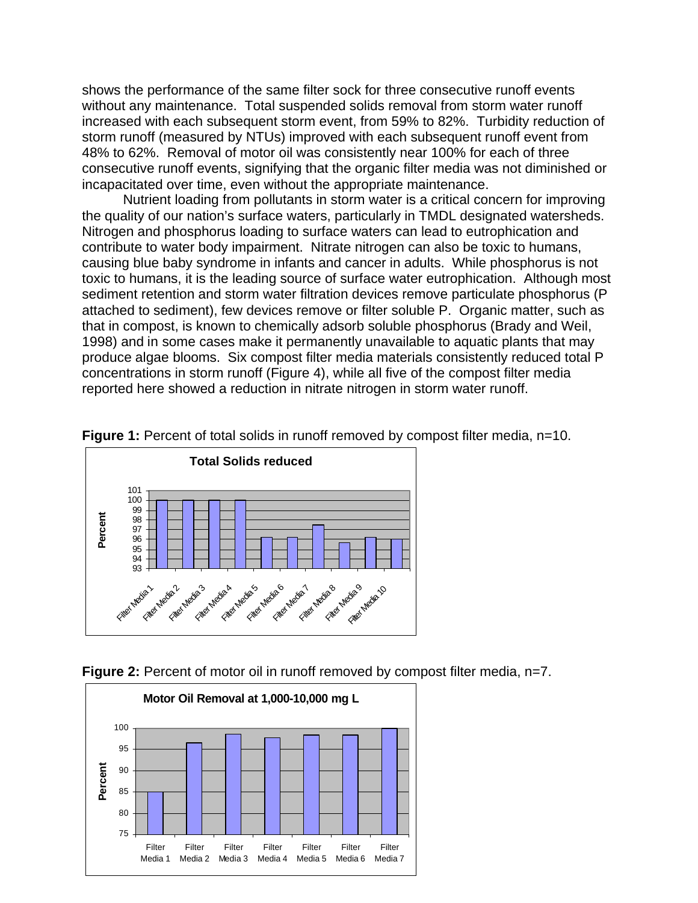shows the performance of the same filter sock for three consecutive runoff events without any maintenance. Total suspended solids removal from storm water runoff increased with each subsequent storm event, from 59% to 82%. Turbidity reduction of storm runoff (measured by NTUs) improved with each subsequent runoff event from 48% to 62%. Removal of motor oil was consistently near 100% for each of three consecutive runoff events, signifying that the organic filter media was not diminished or incapacitated over time, even without the appropriate maintenance.

Nutrient loading from pollutants in storm water is a critical concern for improving the quality of our nation's surface waters, particularly in TMDL designated watersheds. Nitrogen and phosphorus loading to surface waters can lead to eutrophication and contribute to water body impairment. Nitrate nitrogen can also be toxic to humans, causing blue baby syndrome in infants and cancer in adults. While phosphorus is not toxic to humans, it is the leading source of surface water eutrophication. Although most sediment retention and storm water filtration devices remove particulate phosphorus (P attached to sediment), few devices remove or filter soluble P. Organic matter, such as that in compost, is known to chemically adsorb soluble phosphorus (Brady and Weil, 1998) and in some cases make it permanently unavailable to aquatic plants that may produce algae blooms. Six compost filter media materials consistently reduced total P concentrations in storm runoff (Figure 4), while all five of the compost filter media reported here showed a reduction in nitrate nitrogen in storm water runoff.



**Figure 1:** Percent of total solids in runoff removed by compost filter media, n=10.



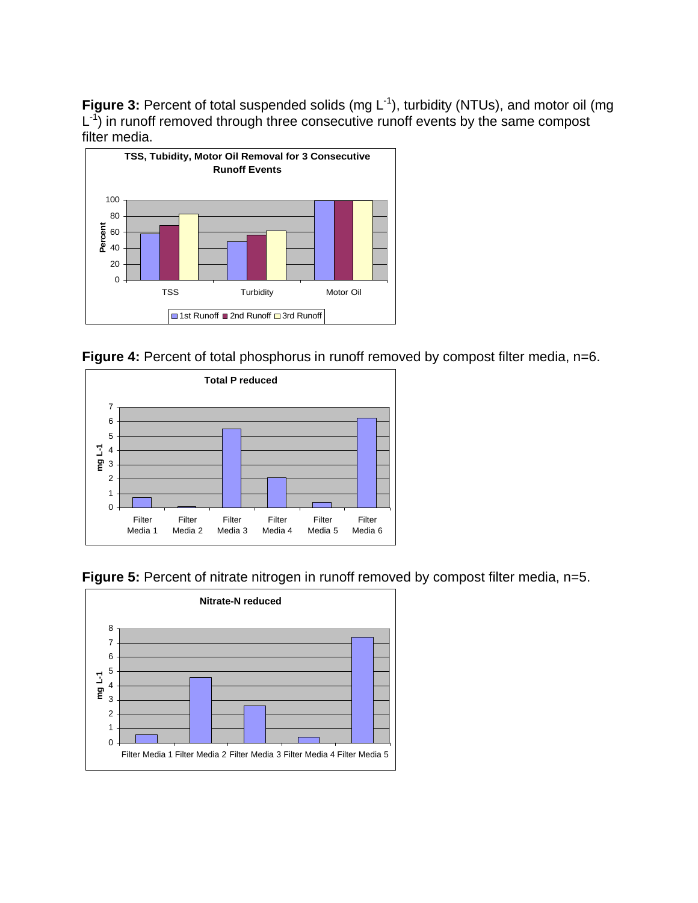Figure 3: Percent of total suspended solids (mg L<sup>-1</sup>), turbidity (NTUs), and motor oil (mg  $L^{-1}$ ) in runoff removed through three consecutive runoff events by the same compost filter media.



**Figure 4:** Percent of total phosphorus in runoff removed by compost filter media, n=6.





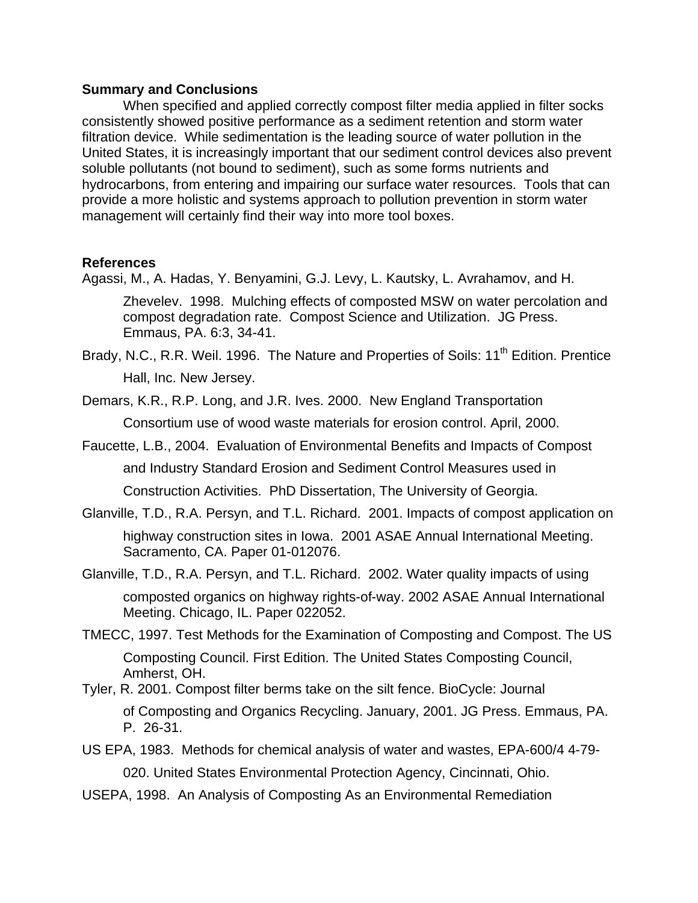#### **Summary and Conclusions**

When specified and applied correctly compost filter media applied in filter socks consistently showed positive performance as a sediment retention and storm water filtration device. While sedimentation is the leading source of water pollution in the United States, it is increasingly important that our sediment control devices also prevent soluble pollutants (not bound to sediment), such as some forms nutrients and hydrocarbons, from entering and impairing our surface water resources. Tools that can provide a more holistic and systems approach to pollution prevention in storm water management will certainly find their way into more tool boxes.

#### **References**

Agassi, M., A. Hadas, Y. Benyamini, G.J. Levy, L. Kautsky, L. Avrahamov, and H.

Zhevelev. 1998. Mulching effects of composted MSW on water percolation and compost degradation rate. Compost Science and Utilization. JG Press. Emmaus, PA. 6:3, 34-41.

Brady, N.C., R.R. Weil. 1996. The Nature and Properties of Soils: 11<sup>th</sup> Edition. Prentice Hall, Inc. New Jersey.

Demars, K.R., R.P. Long, and J.R. Ives. 2000. New England Transportation Consortium use of wood waste materials for erosion control. April, 2000.

Faucette, L.B., 2004. Evaluation of Environmental Benefits and Impacts of Compost

and Industry Standard Erosion and Sediment Control Measures used in

Construction Activities. PhD Dissertation, The University of Georgia.

Glanville, T.D., R.A. Persyn, and T.L. Richard. 2001. Impacts of compost application on highway construction sites in Iowa. 2001 ASAE Annual International Meeting. Sacramento, CA. Paper 01-012076.

Glanville, T.D., R.A. Persyn, and T.L. Richard. 2002. Water quality impacts of using composted organics on highway rights-of-way. 2002 ASAE Annual International Meeting. Chicago, IL. Paper 022052.

- TMECC, 1997. Test Methods for the Examination of Composting and Compost. The US Composting Council. First Edition. The United States Composting Council, Amherst, OH.
- Tyler, R. 2001. Compost filter berms take on the silt fence. BioCycle: Journal of Composting and Organics Recycling. January, 2001. JG Press. Emmaus, PA. P. 26-31.
- US EPA, 1983. Methods for chemical analysis of water and wastes, EPA-600/4 4-79- 020. United States Environmental Protection Agency, Cincinnati, Ohio.
- USEPA, 1998. An Analysis of Composting As an Environmental Remediation